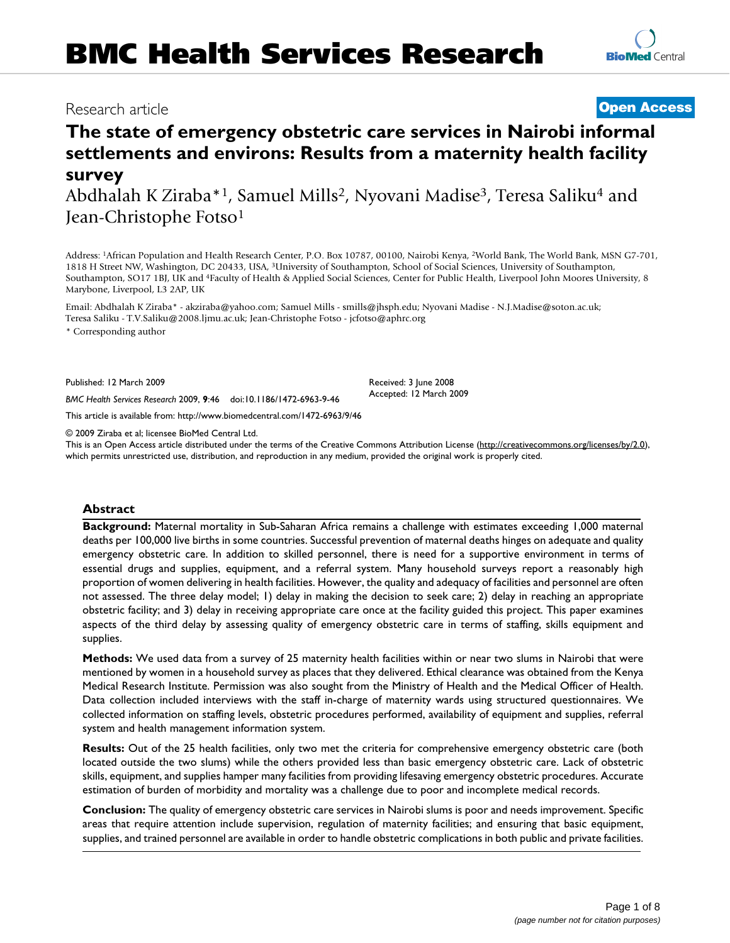## Research article **[Open Access](http://www.biomedcentral.com/info/about/charter/)**

# **The state of emergency obstetric care services in Nairobi informal settlements and environs: Results from a maternity health facility survey**

Abdhalah K Ziraba\*1, Samuel Mills2, Nyovani Madise3, Teresa Saliku4 and Jean-Christophe Fotso1

Address: 1African Population and Health Research Center, P.O. Box 10787, 00100, Nairobi Kenya, 2World Bank, The World Bank, MSN G7-701, 1818 H Street NW, Washington, DC 20433, USA, 3University of Southampton, School of Social Sciences, University of Southampton, Southampton, SO17 1BJ, UK and 4Faculty of Health & Applied Social Sciences, Center for Public Health, Liverpool John Moores University, 8 Marybone, Liverpool, L3 2AP, UK

Email: Abdhalah K Ziraba\* - akziraba@yahoo.com; Samuel Mills - smills@jhsph.edu; Nyovani Madise - N.J.Madise@soton.ac.uk; Teresa Saliku - T.V.Saliku@2008.ljmu.ac.uk; Jean-Christophe Fotso - jcfotso@aphrc.org

\* Corresponding author

Published: 12 March 2009

*BMC Health Services Research* 2009, **9**:46 doi:10.1186/1472-6963-9-46

[This article is available from: http://www.biomedcentral.com/1472-6963/9/46](http://www.biomedcentral.com/1472-6963/9/46)

© 2009 Ziraba et al; licensee BioMed Central Ltd.

This is an Open Access article distributed under the terms of the Creative Commons Attribution License [\(http://creativecommons.org/licenses/by/2.0\)](http://creativecommons.org/licenses/by/2.0), which permits unrestricted use, distribution, and reproduction in any medium, provided the original work is properly cited.

### **Abstract**

**Background:** Maternal mortality in Sub-Saharan Africa remains a challenge with estimates exceeding 1,000 maternal deaths per 100,000 live births in some countries. Successful prevention of maternal deaths hinges on adequate and quality emergency obstetric care. In addition to skilled personnel, there is need for a supportive environment in terms of essential drugs and supplies, equipment, and a referral system. Many household surveys report a reasonably high proportion of women delivering in health facilities. However, the quality and adequacy of facilities and personnel are often not assessed. The three delay model; 1) delay in making the decision to seek care; 2) delay in reaching an appropriate obstetric facility; and 3) delay in receiving appropriate care once at the facility guided this project. This paper examines aspects of the third delay by assessing quality of emergency obstetric care in terms of staffing, skills equipment and supplies.

**Methods:** We used data from a survey of 25 maternity health facilities within or near two slums in Nairobi that were mentioned by women in a household survey as places that they delivered. Ethical clearance was obtained from the Kenya Medical Research Institute. Permission was also sought from the Ministry of Health and the Medical Officer of Health. Data collection included interviews with the staff in-charge of maternity wards using structured questionnaires. We collected information on staffing levels, obstetric procedures performed, availability of equipment and supplies, referral system and health management information system.

**Results:** Out of the 25 health facilities, only two met the criteria for comprehensive emergency obstetric care (both located outside the two slums) while the others provided less than basic emergency obstetric care. Lack of obstetric skills, equipment, and supplies hamper many facilities from providing lifesaving emergency obstetric procedures. Accurate estimation of burden of morbidity and mortality was a challenge due to poor and incomplete medical records.

**Conclusion:** The quality of emergency obstetric care services in Nairobi slums is poor and needs improvement. Specific areas that require attention include supervision, regulation of maternity facilities; and ensuring that basic equipment, supplies, and trained personnel are available in order to handle obstetric complications in both public and private facilities.

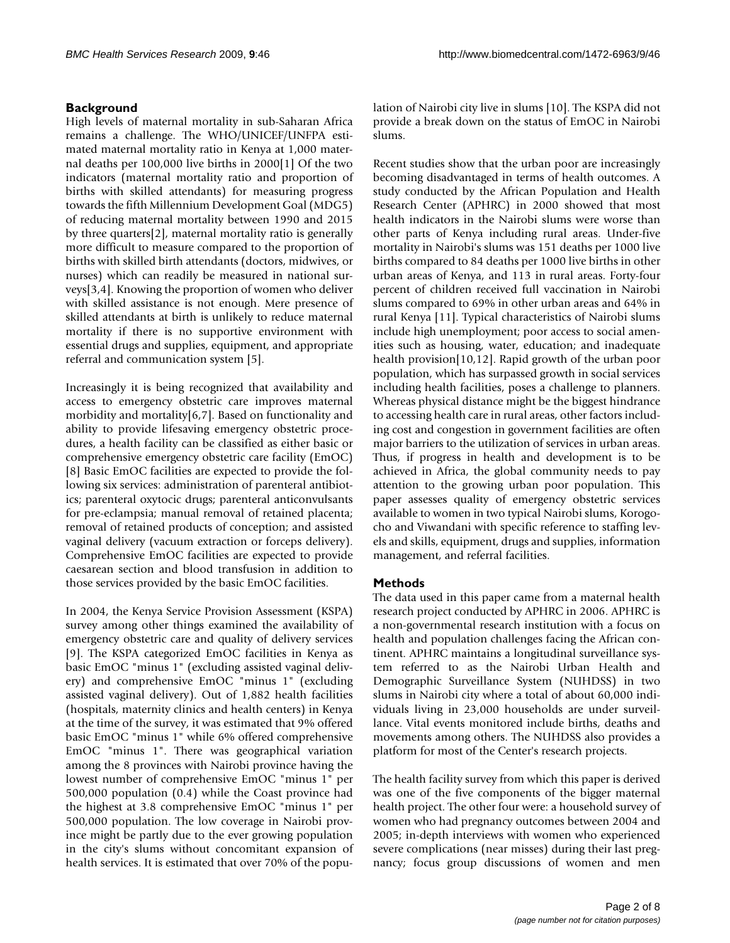#### **Background**

High levels of maternal mortality in sub-Saharan Africa remains a challenge. The WHO/UNICEF/UNFPA estimated maternal mortality ratio in Kenya at 1,000 maternal deaths per 100,000 live births in 2000[\[1\]](#page-6-0) Of the two indicators (maternal mortality ratio and proportion of births with skilled attendants) for measuring progress towards the fifth Millennium Development Goal (MDG5) of reducing maternal mortality between 1990 and 2015 by three quarters[[2](#page-6-1)], maternal mortality ratio is generally more difficult to measure compared to the proportion of births with skilled birth attendants (doctors, midwives, or nurses) which can readily be measured in national surveys[\[3,](#page-6-2)[4\]](#page-7-0). Knowing the proportion of women who deliver with skilled assistance is not enough. Mere presence of skilled attendants at birth is unlikely to reduce maternal mortality if there is no supportive environment with essential drugs and supplies, equipment, and appropriate referral and communication system [[5\]](#page-7-1).

Increasingly it is being recognized that availability and access to emergency obstetric care improves maternal morbidity and mortality[[6](#page-7-2),[7](#page-7-3)]. Based on functionality and ability to provide lifesaving emergency obstetric procedures, a health facility can be classified as either basic or comprehensive emergency obstetric care facility (EmOC) [[8\]](#page-7-4) Basic EmOC facilities are expected to provide the following six services: administration of parenteral antibiotics; parenteral oxytocic drugs; parenteral anticonvulsants for pre-eclampsia; manual removal of retained placenta; removal of retained products of conception; and assisted vaginal delivery (vacuum extraction or forceps delivery). Comprehensive EmOC facilities are expected to provide caesarean section and blood transfusion in addition to those services provided by the basic EmOC facilities.

In 2004, the Kenya Service Provision Assessment (KSPA) survey among other things examined the availability of emergency obstetric care and quality of delivery services [[9\]](#page-7-5). The KSPA categorized EmOC facilities in Kenya as basic EmOC "minus 1" (excluding assisted vaginal delivery) and comprehensive EmOC "minus 1" (excluding assisted vaginal delivery). Out of 1,882 health facilities (hospitals, maternity clinics and health centers) in Kenya at the time of the survey, it was estimated that 9% offered basic EmOC "minus 1" while 6% offered comprehensive EmOC "minus 1". There was geographical variation among the 8 provinces with Nairobi province having the lowest number of comprehensive EmOC "minus 1" per 500,000 population (0.4) while the Coast province had the highest at 3.8 comprehensive EmOC "minus 1" per 500,000 population. The low coverage in Nairobi province might be partly due to the ever growing population in the city's slums without concomitant expansion of health services. It is estimated that over 70% of the population of Nairobi city live in slums [[10](#page-7-6)]. The KSPA did not provide a break down on the status of EmOC in Nairobi slums.

Recent studies show that the urban poor are increasingly becoming disadvantaged in terms of health outcomes. A study conducted by the African Population and Health Research Center (APHRC) in 2000 showed that most health indicators in the Nairobi slums were worse than other parts of Kenya including rural areas. Under-five mortality in Nairobi's slums was 151 deaths per 1000 live births compared to 84 deaths per 1000 live births in other urban areas of Kenya, and 113 in rural areas. Forty-four percent of children received full vaccination in Nairobi slums compared to 69% in other urban areas and 64% in rural Kenya [\[11\]](#page-7-7). Typical characteristics of Nairobi slums include high unemployment; poor access to social amenities such as housing, water, education; and inadequate health provision[\[10](#page-7-6)[,12](#page-7-8)]. Rapid growth of the urban poor population, which has surpassed growth in social services including health facilities, poses a challenge to planners. Whereas physical distance might be the biggest hindrance to accessing health care in rural areas, other factors including cost and congestion in government facilities are often major barriers to the utilization of services in urban areas. Thus, if progress in health and development is to be achieved in Africa, the global community needs to pay attention to the growing urban poor population. This paper assesses quality of emergency obstetric services available to women in two typical Nairobi slums, Korogocho and Viwandani with specific reference to staffing levels and skills, equipment, drugs and supplies, information management, and referral facilities.

#### **Methods**

The data used in this paper came from a maternal health research project conducted by APHRC in 2006. APHRC is a non-governmental research institution with a focus on health and population challenges facing the African continent. APHRC maintains a longitudinal surveillance system referred to as the Nairobi Urban Health and Demographic Surveillance System (NUHDSS) in two slums in Nairobi city where a total of about 60,000 individuals living in 23,000 households are under surveillance. Vital events monitored include births, deaths and movements among others. The NUHDSS also provides a platform for most of the Center's research projects.

The health facility survey from which this paper is derived was one of the five components of the bigger maternal health project. The other four were: a household survey of women who had pregnancy outcomes between 2004 and 2005; in-depth interviews with women who experienced severe complications (near misses) during their last pregnancy; focus group discussions of women and men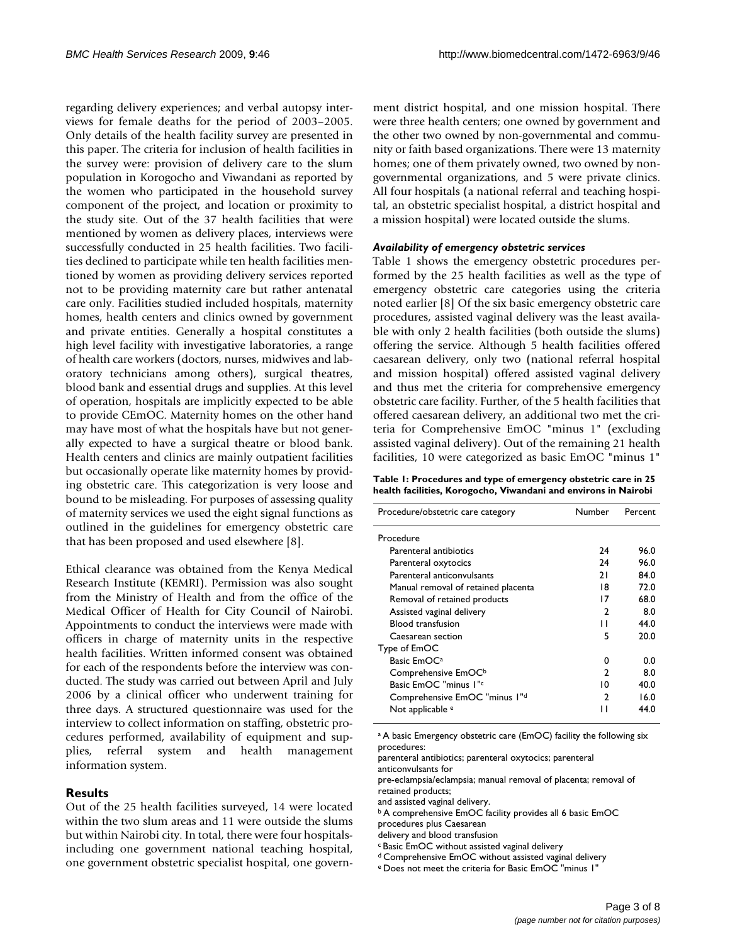regarding delivery experiences; and verbal autopsy interviews for female deaths for the period of 2003–2005. Only details of the health facility survey are presented in this paper. The criteria for inclusion of health facilities in the survey were: provision of delivery care to the slum population in Korogocho and Viwandani as reported by the women who participated in the household survey component of the project, and location or proximity to the study site. Out of the 37 health facilities that were mentioned by women as delivery places, interviews were successfully conducted in 25 health facilities. Two facilities declined to participate while ten health facilities mentioned by women as providing delivery services reported not to be providing maternity care but rather antenatal care only. Facilities studied included hospitals, maternity homes, health centers and clinics owned by government and private entities. Generally a hospital constitutes a high level facility with investigative laboratories, a range of health care workers (doctors, nurses, midwives and laboratory technicians among others), surgical theatres, blood bank and essential drugs and supplies. At this level of operation, hospitals are implicitly expected to be able to provide CEmOC. Maternity homes on the other hand may have most of what the hospitals have but not generally expected to have a surgical theatre or blood bank. Health centers and clinics are mainly outpatient facilities but occasionally operate like maternity homes by providing obstetric care. This categorization is very loose and bound to be misleading. For purposes of assessing quality of maternity services we used the eight signal functions as outlined in the guidelines for emergency obstetric care that has been proposed and used elsewhere [[8](#page-7-4)].

Ethical clearance was obtained from the Kenya Medical Research Institute (KEMRI). Permission was also sought from the Ministry of Health and from the office of the Medical Officer of Health for City Council of Nairobi. Appointments to conduct the interviews were made with officers in charge of maternity units in the respective health facilities. Written informed consent was obtained for each of the respondents before the interview was conducted. The study was carried out between April and July 2006 by a clinical officer who underwent training for three days. A structured questionnaire was used for the interview to collect information on staffing, obstetric procedures performed, availability of equipment and supplies, referral system and health management information system.

#### **Results**

Out of the 25 health facilities surveyed, 14 were located within the two slum areas and 11 were outside the slums but within Nairobi city. In total, there were four hospitalsincluding one government national teaching hospital, one government obstetric specialist hospital, one government district hospital, and one mission hospital. There were three health centers; one owned by government and the other two owned by non-governmental and community or faith based organizations. There were 13 maternity homes; one of them privately owned, two owned by nongovernmental organizations, and 5 were private clinics. All four hospitals (a national referral and teaching hospital, an obstetric specialist hospital, a district hospital and a mission hospital) were located outside the slums.

#### *Availability of emergency obstetric services*

Table [1](#page-2-0) shows the emergency obstetric procedures performed by the 25 health facilities as well as the type of emergency obstetric care categories using the criteria noted earlier [[8\]](#page-7-4) Of the six basic emergency obstetric care procedures, assisted vaginal delivery was the least available with only 2 health facilities (both outside the slums) offering the service. Although 5 health facilities offered caesarean delivery, only two (national referral hospital and mission hospital) offered assisted vaginal delivery and thus met the criteria for comprehensive emergency obstetric care facility. Further, of the 5 health facilities that offered caesarean delivery, an additional two met the criteria for Comprehensive EmOC "minus 1" (excluding assisted vaginal delivery). Out of the remaining 21 health facilities, 10 were categorized as basic EmOC "minus 1"

<span id="page-2-0"></span>**Table 1: Procedures and type of emergency obstetric care in 25 health facilities, Korogocho, Viwandani and environs in Nairobi**

| Procedure/obstetric care category   | Number        | Percent |
|-------------------------------------|---------------|---------|
| Procedure                           |               |         |
| Parenteral antibiotics              | 24            | 96.0    |
| Parenteral oxytocics                | 24            | 96.0    |
| Parenteral anticonvulsants          | 21            | 84.0    |
| Manual removal of retained placenta | 18            | 72.0    |
| Removal of retained products        | 17            | 68.0    |
| Assisted vaginal delivery           | $\mathcal{P}$ | 8.0     |
| <b>Blood transfusion</b>            | п             | 44.0    |
| Caesarean section                   | 5             | 20.0    |
| Type of EmOC                        |               |         |
| Basic EmOC <sup>a</sup>             | O             | 0.0     |
| Comprehensive EmOC <sup>b</sup>     | 2             | 8.0     |
| Basic EmOC "minus I" <sup>c</sup>   | 10            | 40.0    |
| Comprehensive EmOC "minus I"d       | 2             | 16.0    |
| Not applicable <sup>e</sup>         |               | 44.0    |
|                                     |               |         |

a A basic Emergency obstetric care (EmOC) facility the following six

procedures: parenteral antibiotics; parenteral oxytocics; parenteral

anticonvulsants for

pre-eclampsia/eclampsia; manual removal of placenta; removal of retained products;

and assisted vaginal delivery.

b A comprehensive EmOC facility provides all 6 basic EmOC procedures plus Caesarean

delivery and blood transfusion

c Basic EmOC without assisted vaginal delivery

d Comprehensive EmOC without assisted vaginal delivery

e Does not meet the criteria for Basic EmOC "minus 1"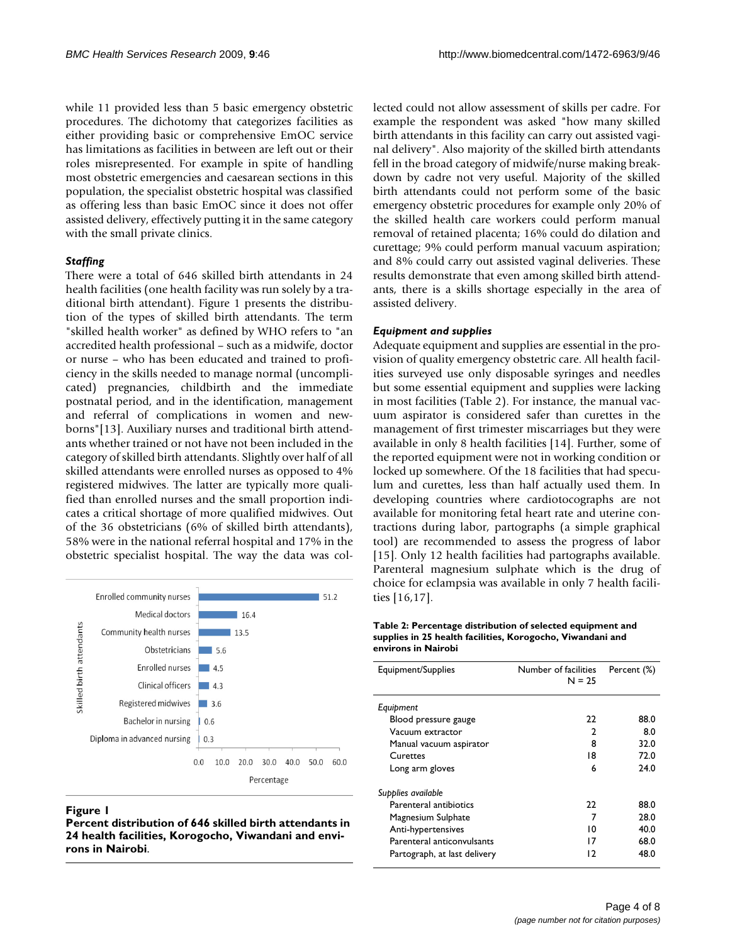while 11 provided less than 5 basic emergency obstetric procedures. The dichotomy that categorizes facilities as either providing basic or comprehensive EmOC service has limitations as facilities in between are left out or their roles misrepresented. For example in spite of handling most obstetric emergencies and caesarean sections in this population, the specialist obstetric hospital was classified as offering less than basic EmOC since it does not offer assisted delivery, effectively putting it in the same category with the small private clinics.

#### *Staffing*

There were a total of 646 skilled birth attendants in 24 health facilities (one health facility was run solely by a traditional birth attendant). Figure [1](#page-3-0) presents the distribution of the types of skilled birth attendants. The term "skilled health worker" as defined by WHO refers to "an accredited health professional – such as a midwife, doctor or nurse – who has been educated and trained to proficiency in the skills needed to manage normal (uncomplicated) pregnancies, childbirth and the immediate postnatal period, and in the identification, management and referral of complications in women and newborns"[\[13\]](#page-7-9). Auxiliary nurses and traditional birth attendants whether trained or not have not been included in the category of skilled birth attendants. Slightly over half of all skilled attendants were enrolled nurses as opposed to 4% registered midwives. The latter are typically more qualified than enrolled nurses and the small proportion indicates a critical shortage of more qualified midwives. Out of the 36 obstetricians (6% of skilled birth attendants), 58% were in the national referral hospital and 17% in the obstetric specialist hospital. The way the data was col-

<span id="page-3-0"></span>

#### Figure 1

**Percent distribution of 646 skilled birth attendants in 24 health facilities, Korogocho, Viwandani and environs in Nairobi**.

lected could not allow assessment of skills per cadre. For example the respondent was asked "how many skilled birth attendants in this facility can carry out assisted vaginal delivery". Also majority of the skilled birth attendants fell in the broad category of midwife/nurse making breakdown by cadre not very useful. Majority of the skilled birth attendants could not perform some of the basic emergency obstetric procedures for example only 20% of the skilled health care workers could perform manual removal of retained placenta; 16% could do dilation and curettage; 9% could perform manual vacuum aspiration; and 8% could carry out assisted vaginal deliveries. These results demonstrate that even among skilled birth attendants, there is a skills shortage especially in the area of assisted delivery.

#### *Equipment and supplies*

Adequate equipment and supplies are essential in the provision of quality emergency obstetric care. All health facilities surveyed use only disposable syringes and needles but some essential equipment and supplies were lacking in most facilities (Table [2\)](#page-3-1). For instance, the manual vacuum aspirator is considered safer than curettes in the management of first trimester miscarriages but they were available in only 8 health facilities [[14\]](#page-7-10). Further, some of the reported equipment were not in working condition or locked up somewhere. Of the 18 facilities that had speculum and curettes, less than half actually used them. In developing countries where cardiotocographs are not available for monitoring fetal heart rate and uterine contractions during labor, partographs (a simple graphical tool) are recommended to assess the progress of labor [[15](#page-7-11)]. Only 12 health facilities had partographs available. Parenteral magnesium sulphate which is the drug of choice for eclampsia was available in only 7 health facilities [\[16](#page-7-12),[17](#page-7-13)].

<span id="page-3-1"></span>

| Table 2: Percentage distribution of selected equipment and |
|------------------------------------------------------------|
| supplies in 25 health facilities, Korogocho, Viwandani and |
| environs in Nairobi                                        |

| Equipment/Supplies           | Number of facilities<br>$N = 25$ | Percent (%) |
|------------------------------|----------------------------------|-------------|
| Equipment                    |                                  |             |
| Blood pressure gauge         | 22                               | 88.0        |
| Vacuum extractor             | 2                                | 8.0         |
| Manual vacuum aspirator      | 8                                | 32.0        |
| Curettes                     | 18                               | 72.0        |
| Long arm gloves              | 6                                | 24.0        |
| Supplies available           |                                  |             |
| Parenteral antibiotics       | 22                               | 88.0        |
| Magnesium Sulphate           | 7                                | 28.0        |
| Anti-hypertensives           | 10                               | 40.0        |
| Parenteral anticonvulsants   | 17                               | 68.0        |
| Partograph, at last delivery | 12                               | 48.0        |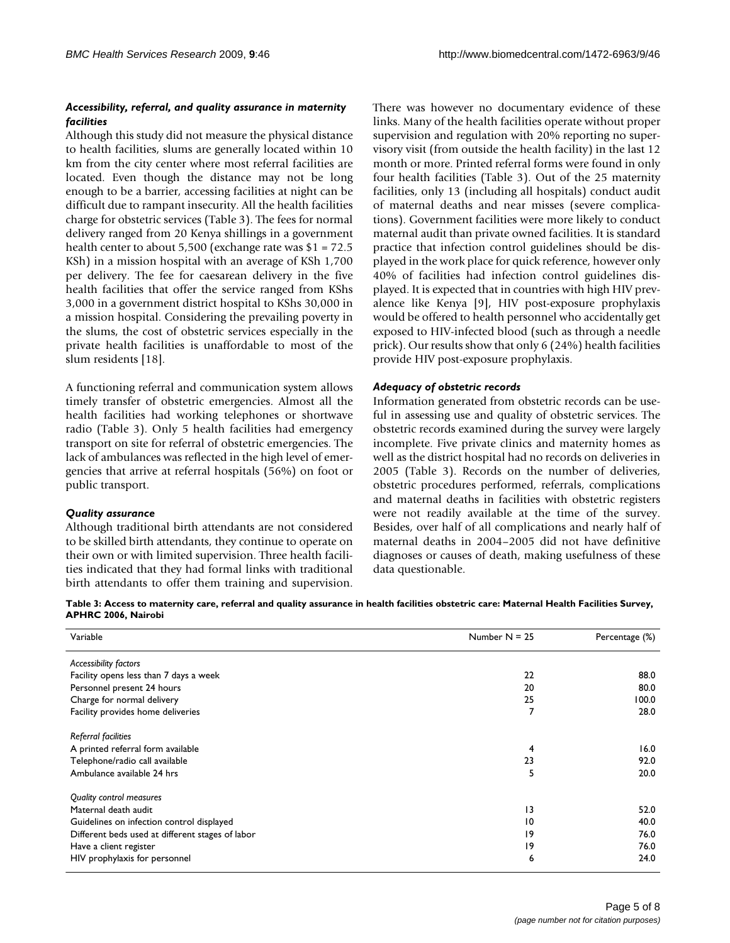#### *Accessibility, referral, and quality assurance in maternity facilities*

Although this study did not measure the physical distance to health facilities, slums are generally located within 10 km from the city center where most referral facilities are located. Even though the distance may not be long enough to be a barrier, accessing facilities at night can be difficult due to rampant insecurity. All the health facilities charge for obstetric services (Table [3\)](#page-4-0). The fees for normal delivery ranged from 20 Kenya shillings in a government health center to about 5,500 (exchange rate was \$1 = 72.5 KSh) in a mission hospital with an average of KSh 1,700 per delivery. The fee for caesarean delivery in the five health facilities that offer the service ranged from KShs 3,000 in a government district hospital to KShs 30,000 in a mission hospital. Considering the prevailing poverty in the slums, the cost of obstetric services especially in the private health facilities is unaffordable to most of the slum residents [[18\]](#page-7-14).

A functioning referral and communication system allows timely transfer of obstetric emergencies. Almost all the health facilities had working telephones or shortwave radio (Table [3](#page-4-0)). Only 5 health facilities had emergency transport on site for referral of obstetric emergencies. The lack of ambulances was reflected in the high level of emergencies that arrive at referral hospitals (56%) on foot or public transport.

#### *Quality assurance*

Although traditional birth attendants are not considered to be skilled birth attendants, they continue to operate on their own or with limited supervision. Three health facilities indicated that they had formal links with traditional birth attendants to offer them training and supervision.

There was however no documentary evidence of these links. Many of the health facilities operate without proper supervision and regulation with 20% reporting no supervisory visit (from outside the health facility) in the last 12 month or more. Printed referral forms were found in only four health facilities (Table [3](#page-4-0)). Out of the 25 maternity facilities, only 13 (including all hospitals) conduct audit of maternal deaths and near misses (severe complications). Government facilities were more likely to conduct maternal audit than private owned facilities. It is standard practice that infection control guidelines should be displayed in the work place for quick reference, however only 40% of facilities had infection control guidelines displayed. It is expected that in countries with high HIV prevalence like Kenya [[9](#page-7-5)], HIV post-exposure prophylaxis would be offered to health personnel who accidentally get exposed to HIV-infected blood (such as through a needle prick). Our results show that only 6 (24%) health facilities provide HIV post-exposure prophylaxis.

#### *Adequacy of obstetric records*

Information generated from obstetric records can be useful in assessing use and quality of obstetric services. The obstetric records examined during the survey were largely incomplete. Five private clinics and maternity homes as well as the district hospital had no records on deliveries in 2005 (Table [3\)](#page-4-0). Records on the number of deliveries, obstetric procedures performed, referrals, complications and maternal deaths in facilities with obstetric registers were not readily available at the time of the survey. Besides, over half of all complications and nearly half of maternal deaths in 2004–2005 did not have definitive diagnoses or causes of death, making usefulness of these data questionable.

<span id="page-4-0"></span>**Table 3: Access to maternity care, referral and quality assurance in health facilities obstetric care: Maternal Health Facilities Survey, APHRC 2006, Nairobi**

| Variable                                         | Number $N = 25$ | Percentage (%) |
|--------------------------------------------------|-----------------|----------------|
| <b>Accessibility factors</b>                     |                 |                |
| Facility opens less than 7 days a week           | 22              | 88.0           |
| Personnel present 24 hours                       | 20              | 80.0           |
| Charge for normal delivery                       | 25              | 100.0          |
| Facility provides home deliveries                | 7               | 28.0           |
| <b>Referral facilities</b>                       |                 |                |
| A printed referral form available                | 4               | 16.0           |
| Telephone/radio call available                   | 23              | 92.0           |
| Ambulance available 24 hrs                       | 5               | 20.0           |
| Quality control measures                         |                 |                |
| Maternal death audit                             | $\overline{13}$ | 52.0           |
| Guidelines on infection control displayed        | 10              | 40.0           |
| Different beds used at different stages of labor | 9               | 76.0           |
| Have a client register                           | 19              | 76.0           |
| HIV prophylaxis for personnel                    | 6               | 24.0           |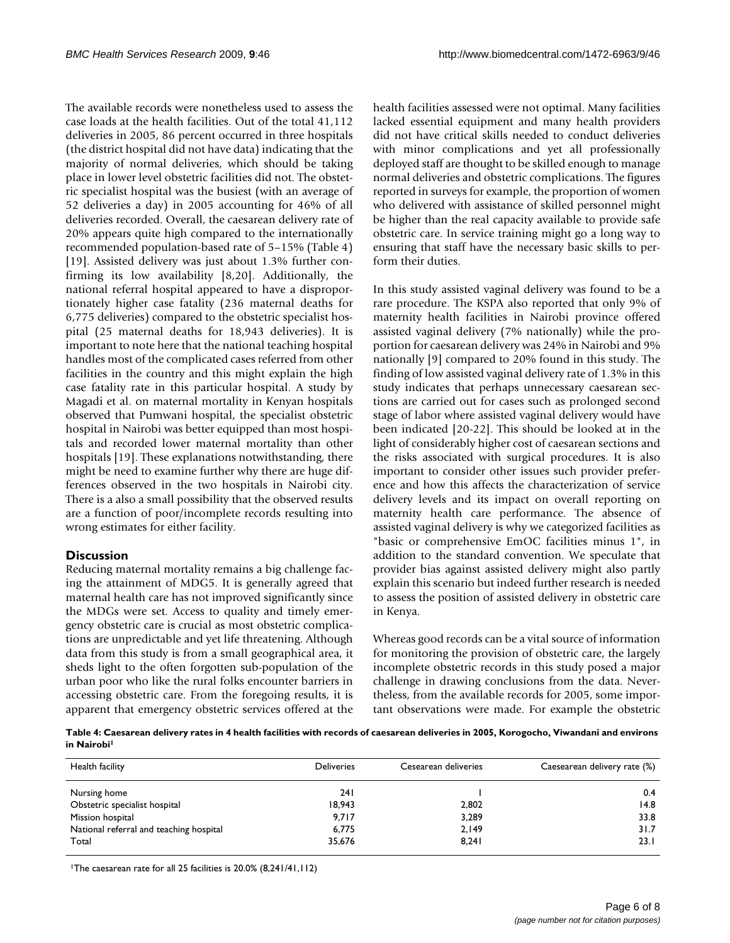The available records were nonetheless used to assess the case loads at the health facilities. Out of the total 41,112 deliveries in 2005, 86 percent occurred in three hospitals (the district hospital did not have data) indicating that the majority of normal deliveries, which should be taking place in lower level obstetric facilities did not. The obstetric specialist hospital was the busiest (with an average of 52 deliveries a day) in 2005 accounting for 46% of all deliveries recorded. Overall, the caesarean delivery rate of 20% appears quite high compared to the internationally recommended population-based rate of 5–15% (Table [4](#page-5-0)) [[19](#page-7-15)]. Assisted delivery was just about 1.3% further confirming its low availability [\[8,](#page-7-4)[20\]](#page-7-16). Additionally, the national referral hospital appeared to have a disproportionately higher case fatality (236 maternal deaths for 6,775 deliveries) compared to the obstetric specialist hospital (25 maternal deaths for 18,943 deliveries). It is important to note here that the national teaching hospital handles most of the complicated cases referred from other facilities in the country and this might explain the high case fatality rate in this particular hospital. A study by Magadi et al. on maternal mortality in Kenyan hospitals observed that Pumwani hospital, the specialist obstetric hospital in Nairobi was better equipped than most hospitals and recorded lower maternal mortality than other hospitals [[19\]](#page-7-15). These explanations notwithstanding, there might be need to examine further why there are huge differences observed in the two hospitals in Nairobi city. There is a also a small possibility that the observed results are a function of poor/incomplete records resulting into wrong estimates for either facility.

#### **Discussion**

Reducing maternal mortality remains a big challenge facing the attainment of MDG5. It is generally agreed that maternal health care has not improved significantly since the MDGs were set. Access to quality and timely emergency obstetric care is crucial as most obstetric complications are unpredictable and yet life threatening. Although data from this study is from a small geographical area, it sheds light to the often forgotten sub-population of the urban poor who like the rural folks encounter barriers in accessing obstetric care. From the foregoing results, it is apparent that emergency obstetric services offered at the health facilities assessed were not optimal. Many facilities lacked essential equipment and many health providers did not have critical skills needed to conduct deliveries with minor complications and yet all professionally deployed staff are thought to be skilled enough to manage normal deliveries and obstetric complications. The figures reported in surveys for example, the proportion of women who delivered with assistance of skilled personnel might be higher than the real capacity available to provide safe obstetric care. In service training might go a long way to ensuring that staff have the necessary basic skills to perform their duties.

In this study assisted vaginal delivery was found to be a rare procedure. The KSPA also reported that only 9% of maternity health facilities in Nairobi province offered assisted vaginal delivery (7% nationally) while the proportion for caesarean delivery was 24% in Nairobi and 9% nationally [\[9\]](#page-7-5) compared to 20% found in this study. The finding of low assisted vaginal delivery rate of 1.3% in this study indicates that perhaps unnecessary caesarean sections are carried out for cases such as prolonged second stage of labor where assisted vaginal delivery would have been indicated [[20-](#page-7-16)[22\]](#page-7-17). This should be looked at in the light of considerably higher cost of caesarean sections and the risks associated with surgical procedures. It is also important to consider other issues such provider preference and how this affects the characterization of service delivery levels and its impact on overall reporting on maternity health care performance. The absence of assisted vaginal delivery is why we categorized facilities as "basic or comprehensive EmOC facilities minus 1", in addition to the standard convention. We speculate that provider bias against assisted delivery might also partly explain this scenario but indeed further research is needed to assess the position of assisted delivery in obstetric care in Kenya.

Whereas good records can be a vital source of information for monitoring the provision of obstetric care, the largely incomplete obstetric records in this study posed a major challenge in drawing conclusions from the data. Nevertheless, from the available records for 2005, some important observations were made. For example the obstetric

<span id="page-5-0"></span>**Table 4: Caesarean delivery rates in 4 health facilities with records of caesarean deliveries in 2005, Korogocho, Viwandani and environs in Nairobi1**

| Health facility                         | <b>Deliveries</b> | Cesearean deliveries | Caesearean delivery rate (%) |
|-----------------------------------------|-------------------|----------------------|------------------------------|
| Nursing home                            | <b>241</b>        |                      | 0.4                          |
| Obstetric specialist hospital           | 18.943            | 2,802                | 14.8                         |
| Mission hospital                        | 9,717             | 3,289                | 33.8                         |
| National referral and teaching hospital | 6,775             | 2,149                | 31.7                         |
| Total                                   | 35,676            | 8,241                | 23.1                         |

1The caesarean rate for all 25 facilities is 20.0% (8,241/41,112)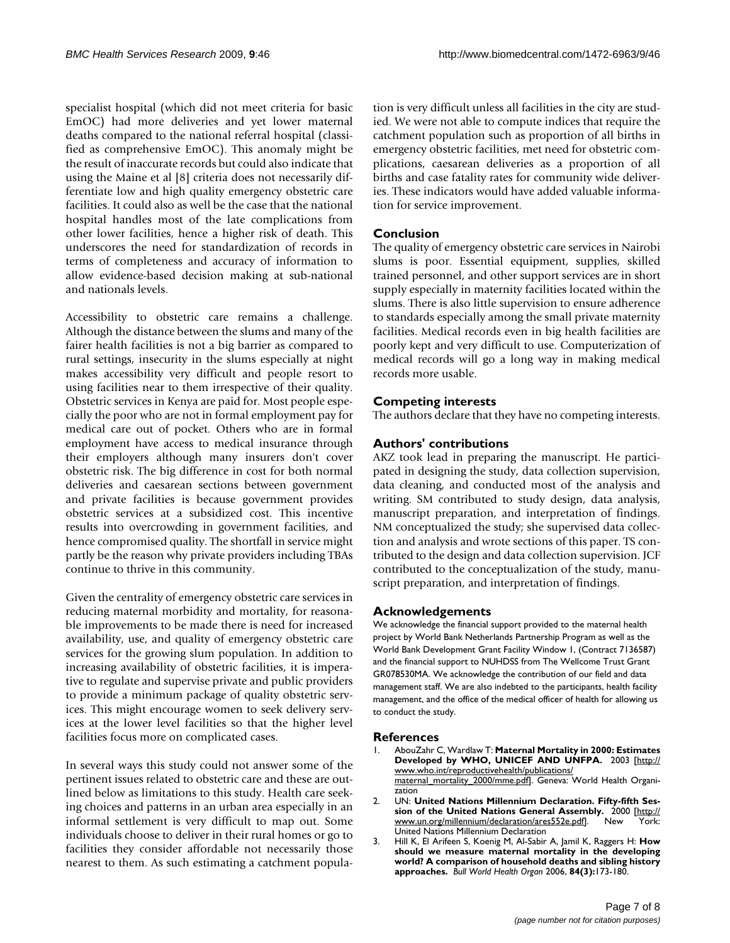specialist hospital (which did not meet criteria for basic EmOC) had more deliveries and yet lower maternal deaths compared to the national referral hospital (classified as comprehensive EmOC). This anomaly might be the result of inaccurate records but could also indicate that using the Maine et al [\[8\]](#page-7-4) criteria does not necessarily differentiate low and high quality emergency obstetric care facilities. It could also as well be the case that the national hospital handles most of the late complications from other lower facilities, hence a higher risk of death. This underscores the need for standardization of records in terms of completeness and accuracy of information to allow evidence-based decision making at sub-national and nationals levels.

Accessibility to obstetric care remains a challenge. Although the distance between the slums and many of the fairer health facilities is not a big barrier as compared to rural settings, insecurity in the slums especially at night makes accessibility very difficult and people resort to using facilities near to them irrespective of their quality. Obstetric services in Kenya are paid for. Most people especially the poor who are not in formal employment pay for medical care out of pocket. Others who are in formal employment have access to medical insurance through their employers although many insurers don't cover obstetric risk. The big difference in cost for both normal deliveries and caesarean sections between government and private facilities is because government provides obstetric services at a subsidized cost. This incentive results into overcrowding in government facilities, and hence compromised quality. The shortfall in service might partly be the reason why private providers including TBAs continue to thrive in this community.

Given the centrality of emergency obstetric care services in reducing maternal morbidity and mortality, for reasonable improvements to be made there is need for increased availability, use, and quality of emergency obstetric care services for the growing slum population. In addition to increasing availability of obstetric facilities, it is imperative to regulate and supervise private and public providers to provide a minimum package of quality obstetric services. This might encourage women to seek delivery services at the lower level facilities so that the higher level facilities focus more on complicated cases.

In several ways this study could not answer some of the pertinent issues related to obstetric care and these are outlined below as limitations to this study. Health care seeking choices and patterns in an urban area especially in an informal settlement is very difficult to map out. Some individuals choose to deliver in their rural homes or go to facilities they consider affordable not necessarily those nearest to them. As such estimating a catchment population is very difficult unless all facilities in the city are studied. We were not able to compute indices that require the catchment population such as proportion of all births in emergency obstetric facilities, met need for obstetric complications, caesarean deliveries as a proportion of all births and case fatality rates for community wide deliveries. These indicators would have added valuable information for service improvement.

#### **Conclusion**

The quality of emergency obstetric care services in Nairobi slums is poor. Essential equipment, supplies, skilled trained personnel, and other support services are in short supply especially in maternity facilities located within the slums. There is also little supervision to ensure adherence to standards especially among the small private maternity facilities. Medical records even in big health facilities are poorly kept and very difficult to use. Computerization of medical records will go a long way in making medical records more usable.

#### **Competing interests**

The authors declare that they have no competing interests.

#### **Authors' contributions**

AKZ took lead in preparing the manuscript. He participated in designing the study, data collection supervision, data cleaning, and conducted most of the analysis and writing. SM contributed to study design, data analysis, manuscript preparation, and interpretation of findings. NM conceptualized the study; she supervised data collection and analysis and wrote sections of this paper. TS contributed to the design and data collection supervision. JCF contributed to the conceptualization of the study, manuscript preparation, and interpretation of findings.

#### **Acknowledgements**

We acknowledge the financial support provided to the maternal health project by World Bank Netherlands Partnership Program as well as the World Bank Development Grant Facility Window 1, (Contract 7136587) and the financial support to NUHDSS from The Wellcome Trust Grant GR078530MA. We acknowledge the contribution of our field and data management staff. We are also indebted to the participants, health facility management, and the office of the medical officer of health for allowing us to conduct the study.

#### **References**

- <span id="page-6-0"></span>1. AbouZahr C, Wardlaw T: **Maternal Mortality in 2000: Estimates Developed by WHO, UNICEF AND UNFPA.** 2003 [\[http://](http://www.who.int/reproductivehealth/publications/maternal_mortality_2000/mme.pdf) [www.who.int/reproductivehealth/publications/](http://www.who.int/reproductivehealth/publications/maternal_mortality_2000/mme.pdf) [maternal\\_mortality\\_2000/mme.pdf](http://www.who.int/reproductivehealth/publications/maternal_mortality_2000/mme.pdf)]. Geneva: World Health Organization
- <span id="page-6-1"></span>2. UN: **United Nations Millennium Declaration. Fifty-fifth Session of the United Nations General Assembly.** 2000 [\[http://](http://www.un.org/millennium/declaration/ares552e.pdf) [www.un.org/millennium/declaration/ares552e.pdf\]](http://www.un.org/millennium/declaration/ares552e.pdf). New York: United Nations Millennium Declaration
- <span id="page-6-2"></span>3. Hill K, El Arifeen S, Koenig M, Al-Sabir A, Jamil K, Raggers H: **[How](http://www.ncbi.nlm.nih.gov/entrez/query.fcgi?cmd=Retrieve&db=PubMed&dopt=Abstract&list_uids=16583075) [should we measure maternal mortality in the developing](http://www.ncbi.nlm.nih.gov/entrez/query.fcgi?cmd=Retrieve&db=PubMed&dopt=Abstract&list_uids=16583075) world? A comparison of household deaths and sibling history [approaches.](http://www.ncbi.nlm.nih.gov/entrez/query.fcgi?cmd=Retrieve&db=PubMed&dopt=Abstract&list_uids=16583075)** *Bull World Health Organ* 2006, **84(3):**173-180.